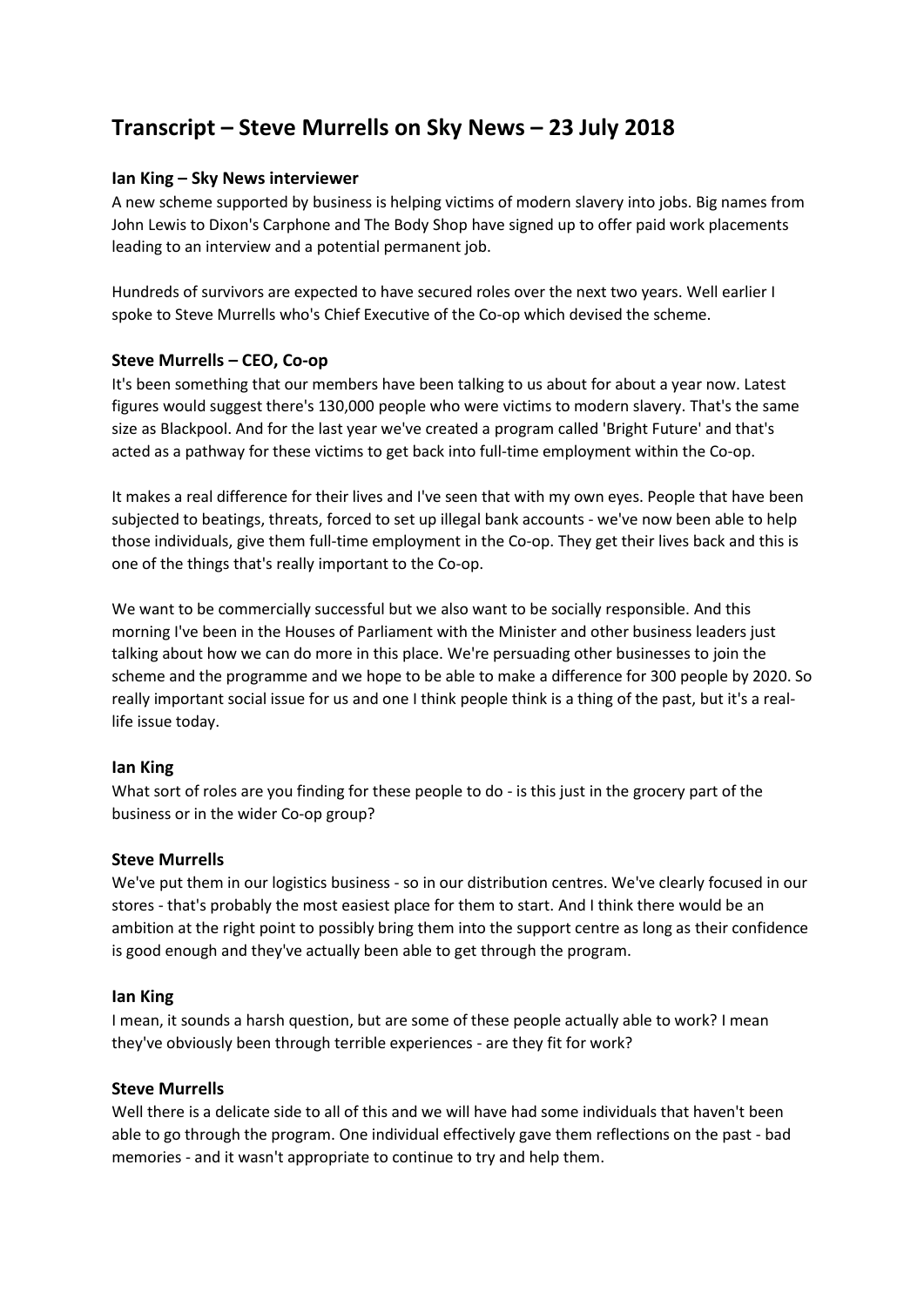# **Transcript – Steve Murrells on Sky News – 23 July 2018**

# **Ian King – Sky News interviewer**

A new scheme supported by business is helping victims of modern slavery into jobs. Big names from John Lewis to Dixon's Carphone and The Body Shop have signed up to offer paid work placements leading to an interview and a potential permanent job.

Hundreds of survivors are expected to have secured roles over the next two years. Well earlier I spoke to Steve Murrells who's Chief Executive of the Co-op which devised the scheme.

## **Steve Murrells – CEO, Co-op**

It's been something that our members have been talking to us about for about a year now. Latest figures would suggest there's 130,000 people who were victims to modern slavery. That's the same size as Blackpool. And for the last year we've created a program called 'Bright Future' and that's acted as a pathway for these victims to get back into full-time employment within the Co-op.

It makes a real difference for their lives and I've seen that with my own eyes. People that have been subjected to beatings, threats, forced to set up illegal bank accounts - we've now been able to help those individuals, give them full-time employment in the Co-op. They get their lives back and this is one of the things that's really important to the Co-op.

We want to be commercially successful but we also want to be socially responsible. And this morning I've been in the Houses of Parliament with the Minister and other business leaders just talking about how we can do more in this place. We're persuading other businesses to join the scheme and the programme and we hope to be able to make a difference for 300 people by 2020. So really important social issue for us and one I think people think is a thing of the past, but it's a reallife issue today.

#### **Ian King**

What sort of roles are you finding for these people to do - is this just in the grocery part of the business or in the wider Co-op group?

#### **Steve Murrells**

We've put them in our logistics business - so in our distribution centres. We've clearly focused in our stores - that's probably the most easiest place for them to start. And I think there would be an ambition at the right point to possibly bring them into the support centre as long as their confidence is good enough and they've actually been able to get through the program.

#### **Ian King**

I mean, it sounds a harsh question, but are some of these people actually able to work? I mean they've obviously been through terrible experiences - are they fit for work?

#### **Steve Murrells**

Well there is a delicate side to all of this and we will have had some individuals that haven't been able to go through the program. One individual effectively gave them reflections on the past - bad memories - and it wasn't appropriate to continue to try and help them.